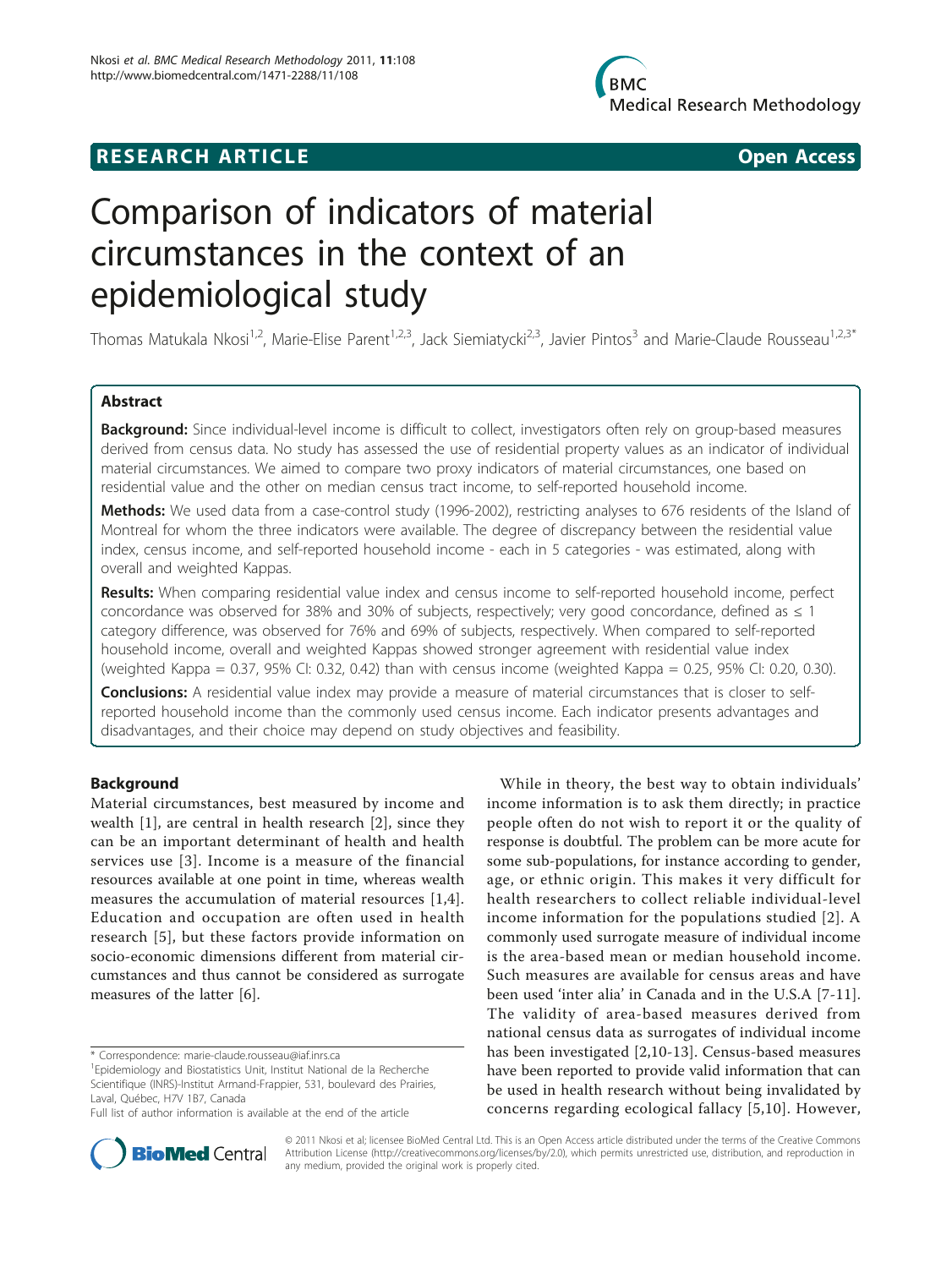# **RESEARCH ARTICLE Example 2014 CONSUMING A CONSUMING A CONSUMING A CONSUMING A CONSUMING A CONSUMING A CONSUMING A CONSUMING A CONSUMING A CONSUMING A CONSUMING A CONSUMING A CONSUMING A CONSUMING A CONSUMING A CONSUMI**

**BMC Medical Research Methodology** 

# Comparison of indicators of material circumstances in the context of an epidemiological study

Thomas Matukala Nkosi<sup>1,2</sup>, Marie-Elise Parent<sup>1,2,3</sup>, Jack Siemiatycki<sup>2,3</sup>, Javier Pintos<sup>3</sup> and Marie-Claude Rousseau<sup>1,2,3\*</sup>

# Abstract

Background: Since individual-level income is difficult to collect, investigators often rely on group-based measures derived from census data. No study has assessed the use of residential property values as an indicator of individual material circumstances. We aimed to compare two proxy indicators of material circumstances, one based on residential value and the other on median census tract income, to self-reported household income.

Methods: We used data from a case-control study (1996-2002), restricting analyses to 676 residents of the Island of Montreal for whom the three indicators were available. The degree of discrepancy between the residential value index, census income, and self-reported household income - each in 5 categories - was estimated, along with overall and weighted Kappas.

Results: When comparing residential value index and census income to self-reported household income, perfect concordance was observed for 38% and 30% of subjects, respectively; very good concordance, defined as  $\leq 1$ category difference, was observed for 76% and 69% of subjects, respectively. When compared to self-reported household income, overall and weighted Kappas showed stronger agreement with residential value index (weighted Kappa = 0.37, 95% CI: 0.32, 0.42) than with census income (weighted Kappa = 0.25, 95% CI: 0.20, 0.30).

**Conclusions:** A residential value index may provide a measure of material circumstances that is closer to selfreported household income than the commonly used census income. Each indicator presents advantages and disadvantages, and their choice may depend on study objectives and feasibility.

# Background

Material circumstances, best measured by income and wealth [[1\]](#page-7-0), are central in health research [[2\]](#page-7-0), since they can be an important determinant of health and health services use [\[3\]](#page-7-0). Income is a measure of the financial resources available at one point in time, whereas wealth measures the accumulation of material resources [[1,4\]](#page-7-0). Education and occupation are often used in health research [\[5\]](#page-7-0), but these factors provide information on socio-economic dimensions different from material circumstances and thus cannot be considered as surrogate measures of the latter [[6](#page-7-0)].

\* Correspondence: [marie-claude.rousseau@iaf.inrs.ca](mailto:marie-claude.rousseau@iaf.inrs.ca)

Full list of author information is available at the end of the article





© 2011 Nkosi et al; licensee BioMed Central Ltd. This is an Open Access article distributed under the terms of the Creative Commons Attribution License [\(http://creativecommons.org/licenses/by/2.0](http://creativecommons.org/licenses/by/2.0)), which permits unrestricted use, distribution, and reproduction in any medium, provided the original work is properly cited.

<sup>&</sup>lt;sup>1</sup> Epidemiology and Biostatistics Unit, Institut National de la Recherche Scientifique (INRS)-Institut Armand-Frappier, 531, boulevard des Prairies, Laval, Québec, H7V 1B7, Canada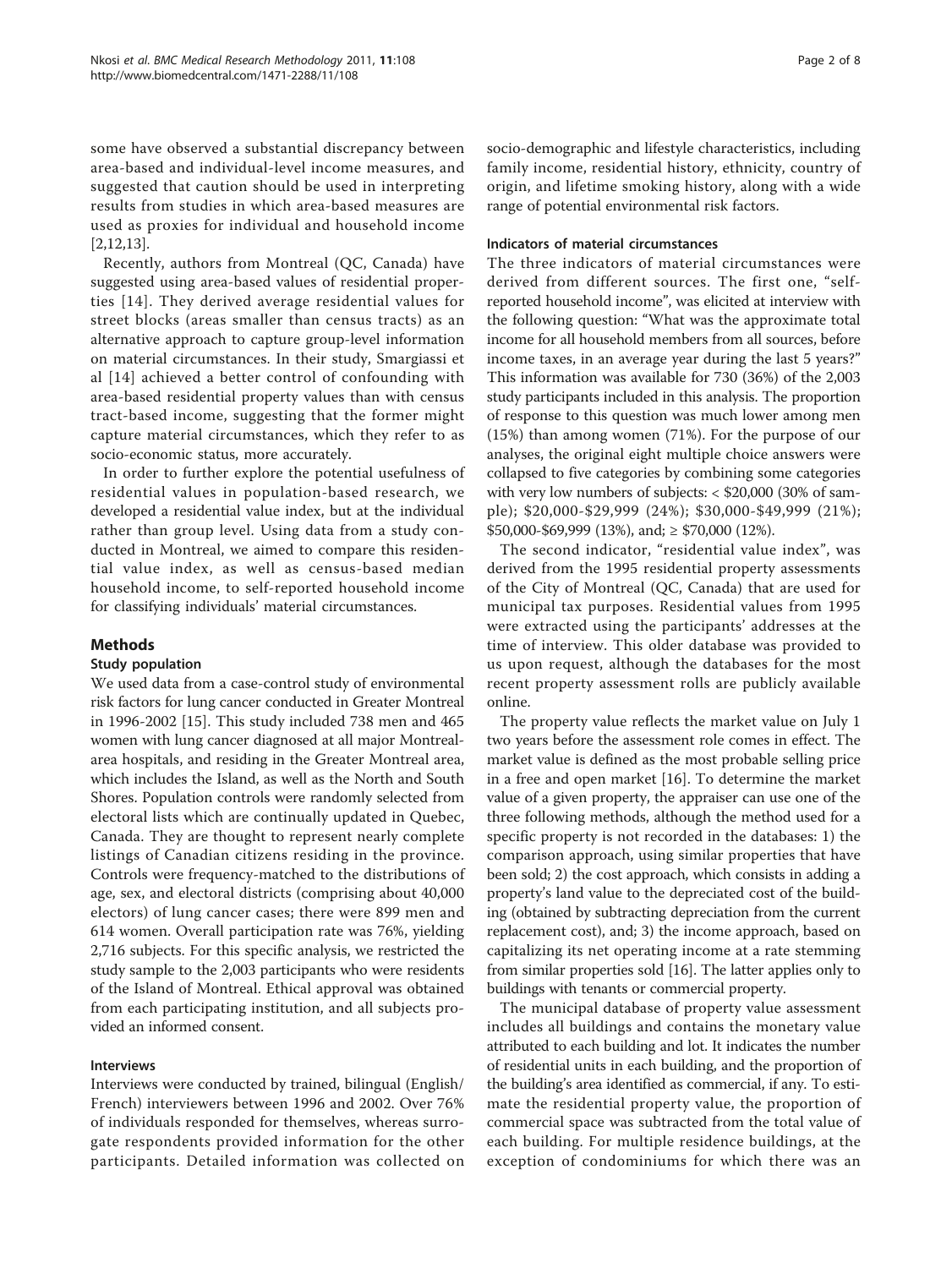some have observed a substantial discrepancy between area-based and individual-level income measures, and suggested that caution should be used in interpreting results from studies in which area-based measures are used as proxies for individual and household income [[2,12,13](#page-7-0)].

Recently, authors from Montreal (QC, Canada) have suggested using area-based values of residential properties [[14\]](#page-7-0). They derived average residential values for street blocks (areas smaller than census tracts) as an alternative approach to capture group-level information on material circumstances. In their study, Smargiassi et al [[14\]](#page-7-0) achieved a better control of confounding with area-based residential property values than with census tract-based income, suggesting that the former might capture material circumstances, which they refer to as socio-economic status, more accurately.

In order to further explore the potential usefulness of residential values in population-based research, we developed a residential value index, but at the individual rather than group level. Using data from a study conducted in Montreal, we aimed to compare this residential value index, as well as census-based median household income, to self-reported household income for classifying individuals' material circumstances.

# Methods

# Study population

We used data from a case-control study of environmental risk factors for lung cancer conducted in Greater Montreal in 1996-2002 [[15\]](#page-7-0). This study included 738 men and 465 women with lung cancer diagnosed at all major Montrealarea hospitals, and residing in the Greater Montreal area, which includes the Island, as well as the North and South Shores. Population controls were randomly selected from electoral lists which are continually updated in Quebec, Canada. They are thought to represent nearly complete listings of Canadian citizens residing in the province. Controls were frequency-matched to the distributions of age, sex, and electoral districts (comprising about 40,000 electors) of lung cancer cases; there were 899 men and 614 women. Overall participation rate was 76%, yielding 2,716 subjects. For this specific analysis, we restricted the study sample to the 2,003 participants who were residents of the Island of Montreal. Ethical approval was obtained from each participating institution, and all subjects provided an informed consent.

# Interviews

Interviews were conducted by trained, bilingual (English/ French) interviewers between 1996 and 2002. Over 76% of individuals responded for themselves, whereas surrogate respondents provided information for the other participants. Detailed information was collected on socio-demographic and lifestyle characteristics, including family income, residential history, ethnicity, country of origin, and lifetime smoking history, along with a wide range of potential environmental risk factors.

#### Indicators of material circumstances

The three indicators of material circumstances were derived from different sources. The first one, "selfreported household income", was elicited at interview with the following question: "What was the approximate total income for all household members from all sources, before income taxes, in an average year during the last 5 years?" This information was available for 730 (36%) of the 2,003 study participants included in this analysis. The proportion of response to this question was much lower among men (15%) than among women (71%). For the purpose of our analyses, the original eight multiple choice answers were collapsed to five categories by combining some categories with very low numbers of subjects: < \$20,000 (30% of sample); \$20,000-\$29,999 (24%); \$30,000-\$49,999 (21%); \$50,000-\$69,999 (13%), and; ≥ \$70,000 (12%).

The second indicator, "residential value index", was derived from the 1995 residential property assessments of the City of Montreal (QC, Canada) that are used for municipal tax purposes. Residential values from 1995 were extracted using the participants' addresses at the time of interview. This older database was provided to us upon request, although the databases for the most recent property assessment rolls are publicly available online.

The property value reflects the market value on July 1 two years before the assessment role comes in effect. The market value is defined as the most probable selling price in a free and open market [\[16\]](#page-7-0). To determine the market value of a given property, the appraiser can use one of the three following methods, although the method used for a specific property is not recorded in the databases: 1) the comparison approach, using similar properties that have been sold; 2) the cost approach, which consists in adding a property's land value to the depreciated cost of the building (obtained by subtracting depreciation from the current replacement cost), and; 3) the income approach, based on capitalizing its net operating income at a rate stemming from similar properties sold [\[16\]](#page-7-0). The latter applies only to buildings with tenants or commercial property.

The municipal database of property value assessment includes all buildings and contains the monetary value attributed to each building and lot. It indicates the number of residential units in each building, and the proportion of the building's area identified as commercial, if any. To estimate the residential property value, the proportion of commercial space was subtracted from the total value of each building. For multiple residence buildings, at the exception of condominiums for which there was an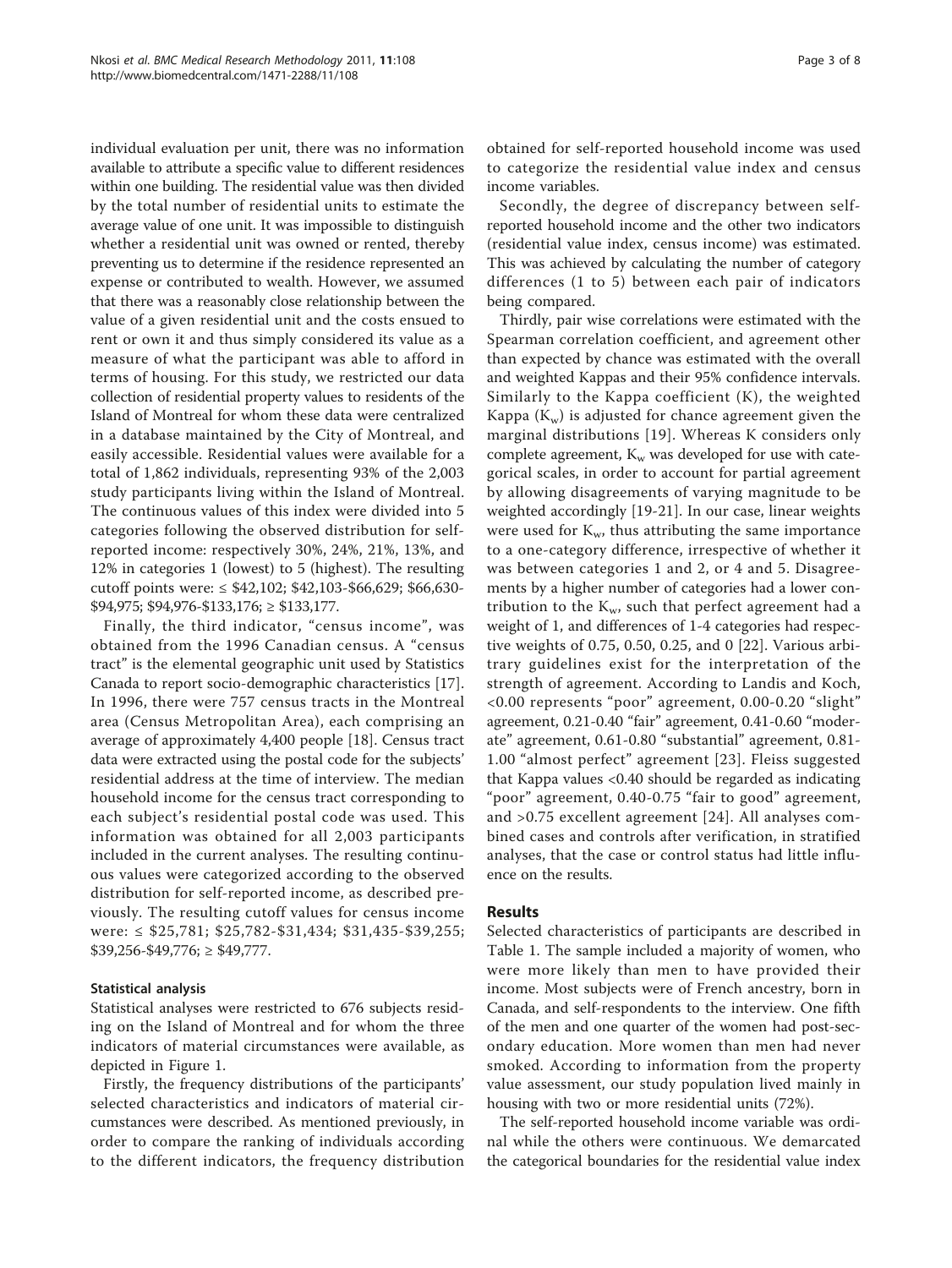individual evaluation per unit, there was no information available to attribute a specific value to different residences within one building. The residential value was then divided by the total number of residential units to estimate the average value of one unit. It was impossible to distinguish whether a residential unit was owned or rented, thereby preventing us to determine if the residence represented an expense or contributed to wealth. However, we assumed that there was a reasonably close relationship between the value of a given residential unit and the costs ensued to rent or own it and thus simply considered its value as a measure of what the participant was able to afford in terms of housing. For this study, we restricted our data collection of residential property values to residents of the Island of Montreal for whom these data were centralized in a database maintained by the City of Montreal, and easily accessible. Residential values were available for a total of 1,862 individuals, representing 93% of the 2,003 study participants living within the Island of Montreal. The continuous values of this index were divided into 5 categories following the observed distribution for selfreported income: respectively 30%, 24%, 21%, 13%, and 12% in categories 1 (lowest) to 5 (highest). The resulting cutoff points were: ≤ \$42,102; \$42,103-\$66,629; \$66,630- \$94,975; \$94,976-\$133,176; ≥ \$133,177.

Finally, the third indicator, "census income", was obtained from the 1996 Canadian census. A "census tract" is the elemental geographic unit used by Statistics Canada to report socio-demographic characteristics [\[17](#page-7-0)]. In 1996, there were 757 census tracts in the Montreal area (Census Metropolitan Area), each comprising an average of approximately 4,400 people [[18\]](#page-7-0). Census tract data were extracted using the postal code for the subjects' residential address at the time of interview. The median household income for the census tract corresponding to each subject's residential postal code was used. This information was obtained for all 2,003 participants included in the current analyses. The resulting continuous values were categorized according to the observed distribution for self-reported income, as described previously. The resulting cutoff values for census income were: ≤ \$25,781; \$25,782-\$31,434; \$31,435-\$39,255;  $$39,256 - $49,776$ ;  $\geq $49,777$ .

# Statistical analysis

Statistical analyses were restricted to 676 subjects residing on the Island of Montreal and for whom the three indicators of material circumstances were available, as depicted in Figure [1](#page-3-0).

Firstly, the frequency distributions of the participants' selected characteristics and indicators of material circumstances were described. As mentioned previously, in order to compare the ranking of individuals according to the different indicators, the frequency distribution obtained for self-reported household income was used to categorize the residential value index and census income variables.

Secondly, the degree of discrepancy between selfreported household income and the other two indicators (residential value index, census income) was estimated. This was achieved by calculating the number of category differences (1 to 5) between each pair of indicators being compared.

Thirdly, pair wise correlations were estimated with the Spearman correlation coefficient, and agreement other than expected by chance was estimated with the overall and weighted Kappas and their 95% confidence intervals. Similarly to the Kappa coefficient (K), the weighted Kappa  $(K_w)$  is adjusted for chance agreement given the marginal distributions [[19](#page-7-0)]. Whereas K considers only complete agreement,  $K_w$  was developed for use with categorical scales, in order to account for partial agreement by allowing disagreements of varying magnitude to be weighted accordingly [\[19](#page-7-0)-[21\]](#page-7-0). In our case, linear weights were used for  $K_{w}$ , thus attributing the same importance to a one-category difference, irrespective of whether it was between categories 1 and 2, or 4 and 5. Disagreements by a higher number of categories had a lower contribution to the  $K_{w}$ , such that perfect agreement had a weight of 1, and differences of 1-4 categories had respective weights of 0.75, 0.50, 0.25, and 0 [[22](#page-7-0)]. Various arbitrary guidelines exist for the interpretation of the strength of agreement. According to Landis and Koch, <0.00 represents "poor" agreement, 0.00-0.20 "slight" agreement, 0.21-0.40 "fair" agreement, 0.41-0.60 "moderate" agreement, 0.61-0.80 "substantial" agreement, 0.81- 1.00 "almost perfect" agreement [[23\]](#page-7-0). Fleiss suggested that Kappa values <0.40 should be regarded as indicating "poor" agreement, 0.40-0.75 "fair to good" agreement, and >0.75 excellent agreement [[24](#page-7-0)]. All analyses combined cases and controls after verification, in stratified analyses, that the case or control status had little influence on the results.

# Results

Selected characteristics of participants are described in Table [1.](#page-4-0) The sample included a majority of women, who were more likely than men to have provided their income. Most subjects were of French ancestry, born in Canada, and self-respondents to the interview. One fifth of the men and one quarter of the women had post-secondary education. More women than men had never smoked. According to information from the property value assessment, our study population lived mainly in housing with two or more residential units (72%).

The self-reported household income variable was ordinal while the others were continuous. We demarcated the categorical boundaries for the residential value index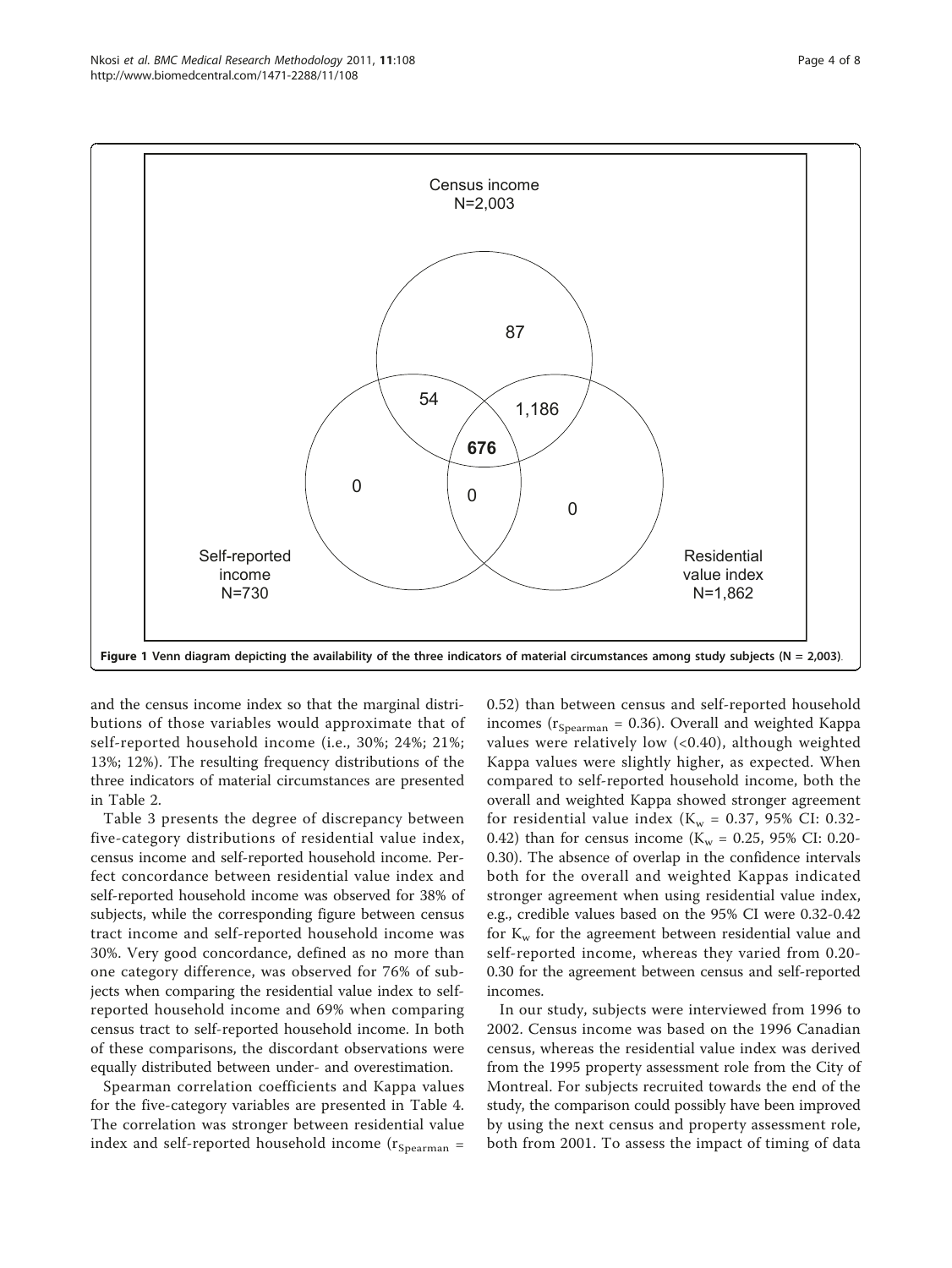<span id="page-3-0"></span>

and the census income index so that the marginal distributions of those variables would approximate that of self-reported household income (i.e., 30%; 24%; 21%; 13%; 12%). The resulting frequency distributions of the three indicators of material circumstances are presented in Table [2.](#page-4-0)

Table [3](#page-5-0) presents the degree of discrepancy between five-category distributions of residential value index, census income and self-reported household income. Perfect concordance between residential value index and self-reported household income was observed for 38% of subjects, while the corresponding figure between census tract income and self-reported household income was 30%. Very good concordance, defined as no more than one category difference, was observed for 76% of subjects when comparing the residential value index to selfreported household income and 69% when comparing census tract to self-reported household income. In both of these comparisons, the discordant observations were equally distributed between under- and overestimation.

Spearman correlation coefficients and Kappa values for the five-category variables are presented in Table [4](#page-5-0). The correlation was stronger between residential value index and self-reported household income  $(r_{Spearman} =$ 

0.52) than between census and self-reported household incomes ( $r_{Spearman}$  = 0.36). Overall and weighted Kappa values were relatively low (<0.40), although weighted Kappa values were slightly higher, as expected. When compared to self-reported household income, both the overall and weighted Kappa showed stronger agreement for residential value index ( $K_w = 0.37$ , 95% CI: 0.32-0.42) than for census income ( $K_w = 0.25$ , 95% CI: 0.20-0.30). The absence of overlap in the confidence intervals both for the overall and weighted Kappas indicated stronger agreement when using residential value index, e.g., credible values based on the 95% CI were 0.32-0.42 for  $K_w$  for the agreement between residential value and self-reported income, whereas they varied from 0.20- 0.30 for the agreement between census and self-reported incomes.

In our study, subjects were interviewed from 1996 to 2002. Census income was based on the 1996 Canadian census, whereas the residential value index was derived from the 1995 property assessment role from the City of Montreal. For subjects recruited towards the end of the study, the comparison could possibly have been improved by using the next census and property assessment role, both from 2001. To assess the impact of timing of data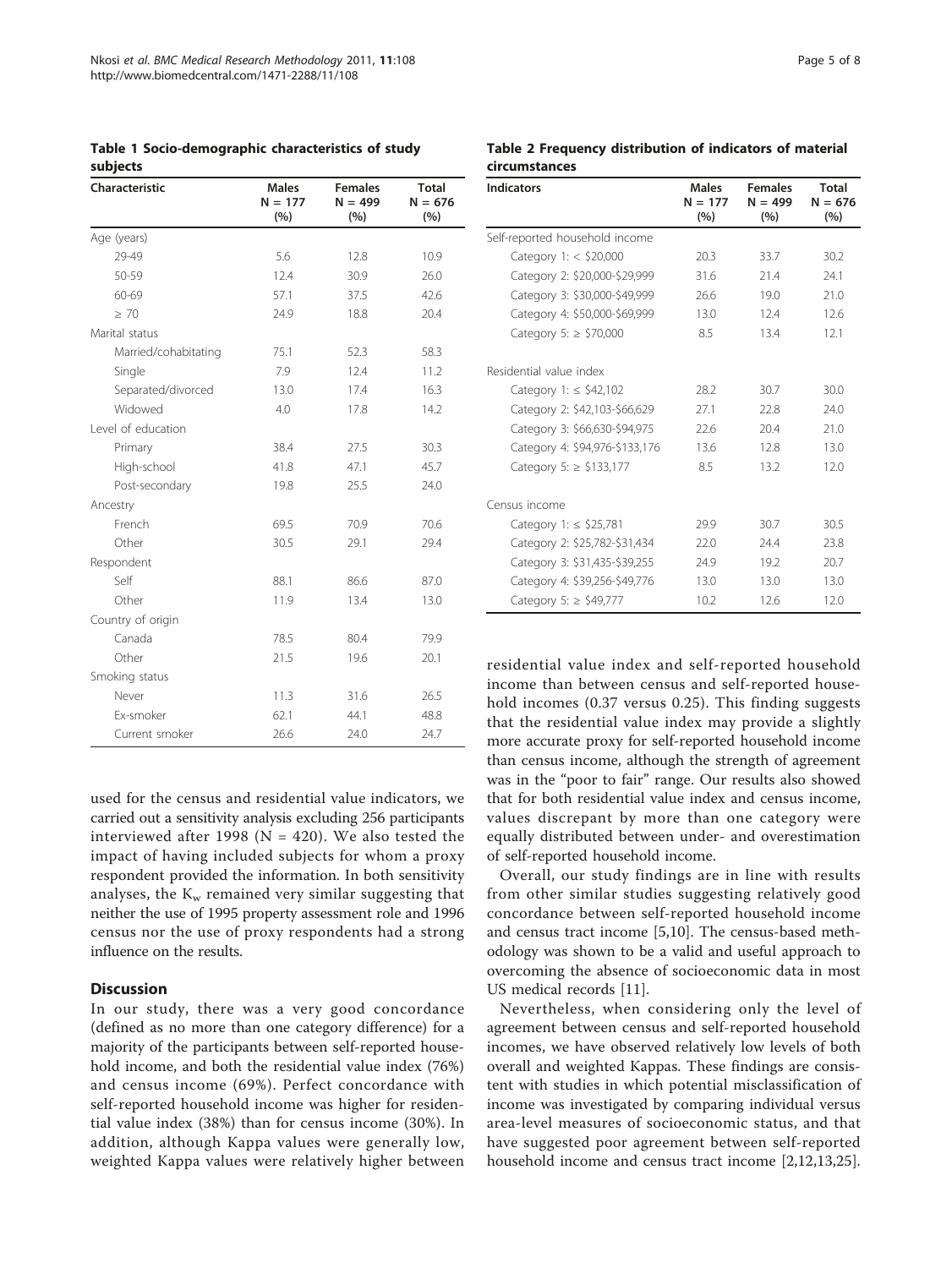<span id="page-4-0"></span>Table 1 Socio-demographic characteristics of study subjects

| Characteristic       | <b>Males</b><br>$N = 177$<br>(%) | <b>Females</b><br>$N = 499$<br>(%) | <b>Total</b><br>$N = 676$<br>(%) |
|----------------------|----------------------------------|------------------------------------|----------------------------------|
| Age (years)          |                                  |                                    |                                  |
| 29-49                | 5.6                              | 12.8                               | 10.9                             |
| 50-59                | 12.4                             | 30.9                               | 26.0                             |
| 60-69                | 57.1                             | 37.5                               | 42.6                             |
| $\geq 70$            | 24.9                             | 18.8                               | 20.4                             |
| Marital status       |                                  |                                    |                                  |
| Married/cohabitating | 75.1                             | 52.3                               | 58.3                             |
| Single               | 7.9                              | 12.4                               | 11.2                             |
| Separated/divorced   | 13.0                             | 17.4                               | 16.3                             |
| Widowed              | 4.0                              | 17.8                               | 14.2                             |
| Level of education   |                                  |                                    |                                  |
| Primary              | 38.4                             | 27.5                               | 30.3                             |
| High-school          | 41.8                             | 47.1                               | 45.7                             |
| Post-secondary       | 19.8                             | 25.5                               | 24.0                             |
| Ancestry             |                                  |                                    |                                  |
| French               | 69.5                             | 70.9                               | 70.6                             |
| Other                | 30.5                             | 29.1                               | 29.4                             |
| Respondent           |                                  |                                    |                                  |
| Self                 | 88.1                             | 86.6                               | 87.0                             |
| Other                | 11.9                             | 13.4                               | 13.0                             |
| Country of origin    |                                  |                                    |                                  |
| Canada               | 78.5                             | 80.4                               | 79.9                             |
| Other                | 21.5                             | 19.6                               | 20.1                             |
| Smoking status       |                                  |                                    |                                  |
| Never                | 11.3                             | 31.6                               | 26.5                             |
| Fx-smoker            | 62.1                             | 44.1                               | 48.8                             |
| Current smoker       | 26.6                             | 24.0                               | 24.7                             |

used for the census and residential value indicators, we carried out a sensitivity analysis excluding 256 participants interviewed after 1998 ( $N = 420$ ). We also tested the impact of having included subjects for whom a proxy respondent provided the information. In both sensitivity analyses, the  $K_w$  remained very similar suggesting that neither the use of 1995 property assessment role and 1996 census nor the use of proxy respondents had a strong influence on the results.

# **Discussion**

In our study, there was a very good concordance (defined as no more than one category difference) for a majority of the participants between self-reported household income, and both the residential value index (76%) and census income (69%). Perfect concordance with self-reported household income was higher for residential value index (38%) than for census income (30%). In addition, although Kappa values were generally low, weighted Kappa values were relatively higher between

| <b>Indicators</b>              | <b>Males</b><br>$N = 177$<br>(%) | <b>Females</b><br>$N = 499$<br>(%) | <b>Total</b><br>$N = 676$<br>(%) |
|--------------------------------|----------------------------------|------------------------------------|----------------------------------|
| Self-reported household income |                                  |                                    |                                  |
| Category 1: $<$ \$20,000       | 20.3                             | 33.7                               | 30.2                             |
| Category 2: \$20,000-\$29,999  | 31.6                             | 21.4                               | 24.1                             |
| Category 3: \$30,000-\$49,999  | 26.6                             | 19.0                               | 21.0                             |
| Category 4: \$50,000-\$69,999  | 13.0                             | 12.4                               | 12.6                             |
| Category 5: $\ge$ \$70,000     | 8.5                              | 13.4                               | 12.1                             |
| Residential value index        |                                  |                                    |                                  |
| Category 1: $\le$ \$42,102     | 28.2                             | 30.7                               | 30.0                             |
| Category 2: \$42,103-\$66,629  | 27.1                             | 22.8                               | 74.0                             |
| Category 3: \$66,630-\$94,975  | 22.6                             | 204                                | 21.0                             |
| Category 4: \$94,976-\$133,176 | 13.6                             | 12.8                               | 13.0                             |
| Category 5: $\ge$ \$133,177    | 8.5                              | 13.2                               | 12.0                             |
| Census income                  |                                  |                                    |                                  |
| Category 1: $\le$ \$25,781     | 29.9                             | 30.7                               | 30.5                             |
| Category 2: \$25,782-\$31,434  | 22.0                             | 24.4                               | 23.8                             |
| Category 3: \$31,435-\$39,255  | 24.9                             | 19.2                               | 20.7                             |
| Category 4: \$39,256-\$49,776  | 13.0                             | 13.0                               | 13.0                             |
| Category 5: $\geq$ \$49,777    | 10.2                             | 12.6                               | 12.0                             |

residential value index and self-reported household income than between census and self-reported household incomes (0.37 versus 0.25). This finding suggests that the residential value index may provide a slightly more accurate proxy for self-reported household income than census income, although the strength of agreement was in the "poor to fair" range. Our results also showed that for both residential value index and census income, values discrepant by more than one category were equally distributed between under- and overestimation of self-reported household income.

Overall, our study findings are in line with results from other similar studies suggesting relatively good concordance between self-reported household income and census tract income [\[5,10\]](#page-7-0). The census-based methodology was shown to be a valid and useful approach to overcoming the absence of socioeconomic data in most US medical records [\[11](#page-7-0)].

Nevertheless, when considering only the level of agreement between census and self-reported household incomes, we have observed relatively low levels of both overall and weighted Kappas. These findings are consistent with studies in which potential misclassification of income was investigated by comparing individual versus area-level measures of socioeconomic status, and that have suggested poor agreement between self-reported household income and census tract income [\[2,12,13,25](#page-7-0)].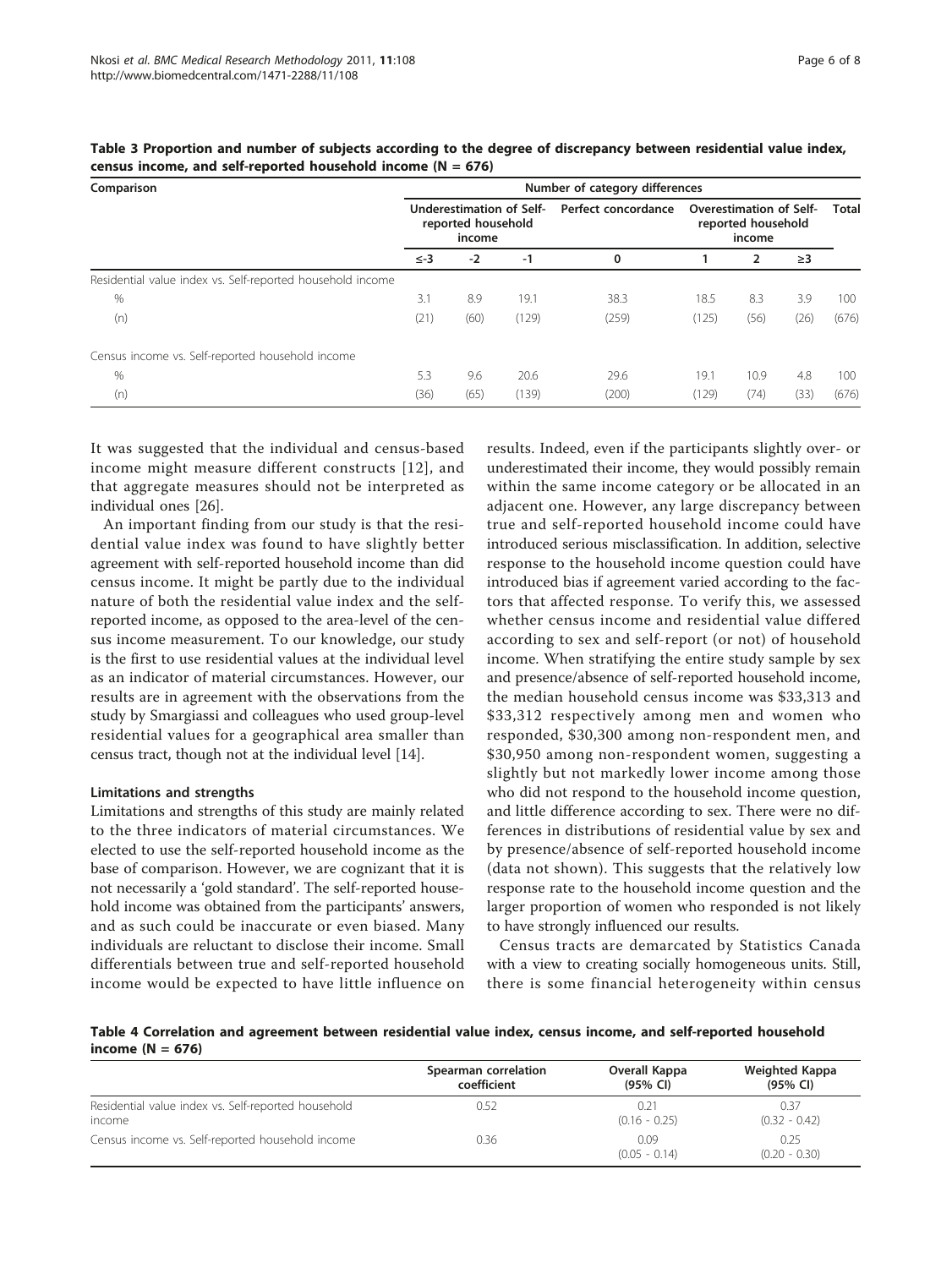| Comparison                                                 | Number of category differences                           |      |       |                     |                                                                |      |              |       |
|------------------------------------------------------------|----------------------------------------------------------|------|-------|---------------------|----------------------------------------------------------------|------|--------------|-------|
|                                                            | Underestimation of Self-<br>reported household<br>income |      |       | Perfect concordance | <b>Overestimation of Self-</b><br>reported household<br>income |      | <b>Total</b> |       |
|                                                            | $\le -3$<br>$-2$<br>$-1$<br>0                            |      |       | 2<br>$\geq$ 3       |                                                                |      |              |       |
| Residential value index vs. Self-reported household income |                                                          |      |       |                     |                                                                |      |              |       |
| %                                                          | 3.1                                                      | 8.9  | 19.1  | 38.3                | 18.5                                                           | 8.3  | 3.9          | 100   |
| (n)                                                        | (21)                                                     | (60) | (129) | (259)               | (125)                                                          | (56) | (26)         | (676) |
| Census income vs. Self-reported household income           |                                                          |      |       |                     |                                                                |      |              |       |
| %                                                          | 5.3                                                      | 9.6  | 20.6  | 29.6                | 19.1                                                           | 10.9 | 4.8          | 100   |
| (n)                                                        | (36)                                                     | (65) | (139) | (200)               | (129)                                                          | (74) | (33)         | (676) |

<span id="page-5-0"></span>Table 3 Proportion and number of subjects according to the degree of discrepancy between residential value index, census income, and self-reported household income ( $N = 676$ )

It was suggested that the individual and census-based income might measure different constructs [[12](#page-7-0)], and that aggregate measures should not be interpreted as individual ones [\[26\]](#page-7-0).

An important finding from our study is that the residential value index was found to have slightly better agreement with self-reported household income than did census income. It might be partly due to the individual nature of both the residential value index and the selfreported income, as opposed to the area-level of the census income measurement. To our knowledge, our study is the first to use residential values at the individual level as an indicator of material circumstances. However, our results are in agreement with the observations from the study by Smargiassi and colleagues who used group-level residential values for a geographical area smaller than census tract, though not at the individual level [[14](#page-7-0)].

#### Limitations and strengths

Limitations and strengths of this study are mainly related to the three indicators of material circumstances. We elected to use the self-reported household income as the base of comparison. However, we are cognizant that it is not necessarily a 'gold standard'. The self-reported household income was obtained from the participants' answers, and as such could be inaccurate or even biased. Many individuals are reluctant to disclose their income. Small differentials between true and self-reported household income would be expected to have little influence on

results. Indeed, even if the participants slightly over- or underestimated their income, they would possibly remain within the same income category or be allocated in an adjacent one. However, any large discrepancy between true and self-reported household income could have introduced serious misclassification. In addition, selective response to the household income question could have introduced bias if agreement varied according to the factors that affected response. To verify this, we assessed whether census income and residential value differed according to sex and self-report (or not) of household income. When stratifying the entire study sample by sex and presence/absence of self-reported household income, the median household census income was \$33,313 and \$33,312 respectively among men and women who responded, \$30,300 among non-respondent men, and \$30,950 among non-respondent women, suggesting a slightly but not markedly lower income among those who did not respond to the household income question, and little difference according to sex. There were no differences in distributions of residential value by sex and by presence/absence of self-reported household income (data not shown). This suggests that the relatively low response rate to the household income question and the larger proportion of women who responded is not likely to have strongly influenced our results.

Census tracts are demarcated by Statistics Canada with a view to creating socially homogeneous units. Still, there is some financial heterogeneity within census

Table 4 Correlation and agreement between residential value index, census income, and self-reported household income  $(N = 676)$ 

|                                                     | Spearman correlation | Overall Kappa           | Weighted Kappa          |
|-----------------------------------------------------|----------------------|-------------------------|-------------------------|
|                                                     | coefficient          | (95% CI)                | (95% CI)                |
| Residential value index vs. Self-reported household | 0.52                 | 0.21                    | 0.37                    |
| income                                              |                      | $(0.16 - 0.25)$         | $(0.32 - 0.42)$         |
| Census income vs. Self-reported household income    | 0.36                 | 0.09<br>$(0.05 - 0.14)$ | 0.25<br>$(0.20 - 0.30)$ |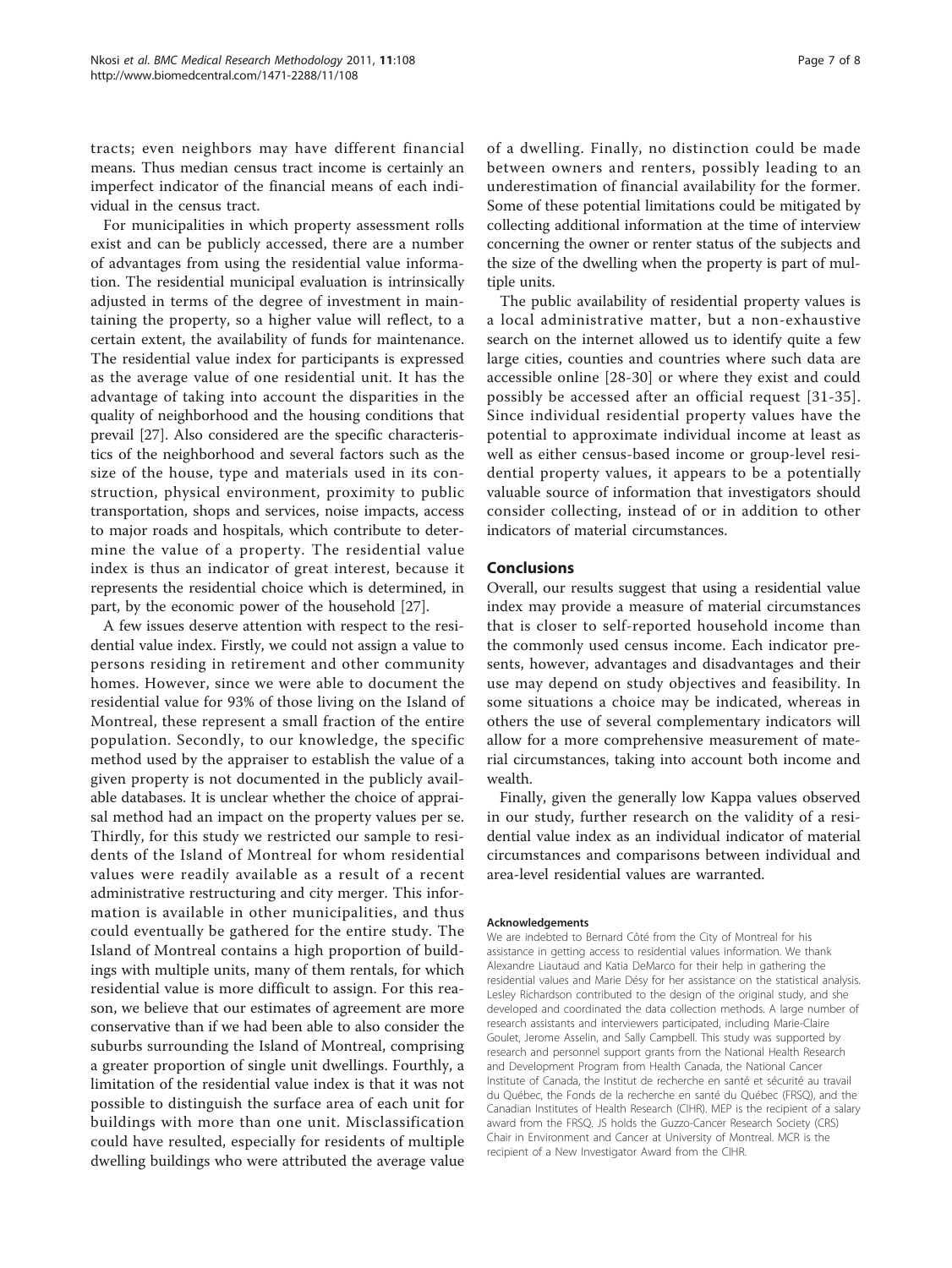tracts; even neighbors may have different financial means. Thus median census tract income is certainly an imperfect indicator of the financial means of each individual in the census tract.

For municipalities in which property assessment rolls exist and can be publicly accessed, there are a number of advantages from using the residential value information. The residential municipal evaluation is intrinsically adjusted in terms of the degree of investment in maintaining the property, so a higher value will reflect, to a certain extent, the availability of funds for maintenance. The residential value index for participants is expressed as the average value of one residential unit. It has the advantage of taking into account the disparities in the quality of neighborhood and the housing conditions that prevail [\[27](#page-7-0)]. Also considered are the specific characteristics of the neighborhood and several factors such as the size of the house, type and materials used in its construction, physical environment, proximity to public transportation, shops and services, noise impacts, access to major roads and hospitals, which contribute to determine the value of a property. The residential value index is thus an indicator of great interest, because it represents the residential choice which is determined, in part, by the economic power of the household [[27\]](#page-7-0).

A few issues deserve attention with respect to the residential value index. Firstly, we could not assign a value to persons residing in retirement and other community homes. However, since we were able to document the residential value for 93% of those living on the Island of Montreal, these represent a small fraction of the entire population. Secondly, to our knowledge, the specific method used by the appraiser to establish the value of a given property is not documented in the publicly available databases. It is unclear whether the choice of appraisal method had an impact on the property values per se. Thirdly, for this study we restricted our sample to residents of the Island of Montreal for whom residential values were readily available as a result of a recent administrative restructuring and city merger. This information is available in other municipalities, and thus could eventually be gathered for the entire study. The Island of Montreal contains a high proportion of buildings with multiple units, many of them rentals, for which residential value is more difficult to assign. For this reason, we believe that our estimates of agreement are more conservative than if we had been able to also consider the suburbs surrounding the Island of Montreal, comprising a greater proportion of single unit dwellings. Fourthly, a limitation of the residential value index is that it was not possible to distinguish the surface area of each unit for buildings with more than one unit. Misclassification could have resulted, especially for residents of multiple dwelling buildings who were attributed the average value

of a dwelling. Finally, no distinction could be made between owners and renters, possibly leading to an underestimation of financial availability for the former. Some of these potential limitations could be mitigated by collecting additional information at the time of interview concerning the owner or renter status of the subjects and the size of the dwelling when the property is part of multiple units.

The public availability of residential property values is a local administrative matter, but a non-exhaustive search on the internet allowed us to identify quite a few large cities, counties and countries where such data are accessible online [[28-30](#page-7-0)] or where they exist and could possibly be accessed after an official request [[31-35\]](#page-7-0). Since individual residential property values have the potential to approximate individual income at least as well as either census-based income or group-level residential property values, it appears to be a potentially valuable source of information that investigators should consider collecting, instead of or in addition to other indicators of material circumstances.

#### Conclusions

Overall, our results suggest that using a residential value index may provide a measure of material circumstances that is closer to self-reported household income than the commonly used census income. Each indicator presents, however, advantages and disadvantages and their use may depend on study objectives and feasibility. In some situations a choice may be indicated, whereas in others the use of several complementary indicators will allow for a more comprehensive measurement of material circumstances, taking into account both income and wealth.

Finally, given the generally low Kappa values observed in our study, further research on the validity of a residential value index as an individual indicator of material circumstances and comparisons between individual and area-level residential values are warranted.

#### Acknowledgements

We are indebted to Bernard Côté from the City of Montreal for his assistance in getting access to residential values information. We thank Alexandre Liautaud and Katia DeMarco for their help in gathering the residential values and Marie Désy for her assistance on the statistical analysis. Lesley Richardson contributed to the design of the original study, and she developed and coordinated the data collection methods. A large number of research assistants and interviewers participated, including Marie-Claire Goulet, Jerome Asselin, and Sally Campbell. This study was supported by research and personnel support grants from the National Health Research and Development Program from Health Canada, the National Cancer Institute of Canada, the Institut de recherche en santé et sécurité au travail du Québec, the Fonds de la recherche en santé du Québec (FRSQ), and the Canadian Institutes of Health Research (CIHR). MEP is the recipient of a salary award from the FRSQ. JS holds the Guzzo-Cancer Research Society (CRS) Chair in Environment and Cancer at University of Montreal. MCR is the recipient of a New Investigator Award from the CIHR.